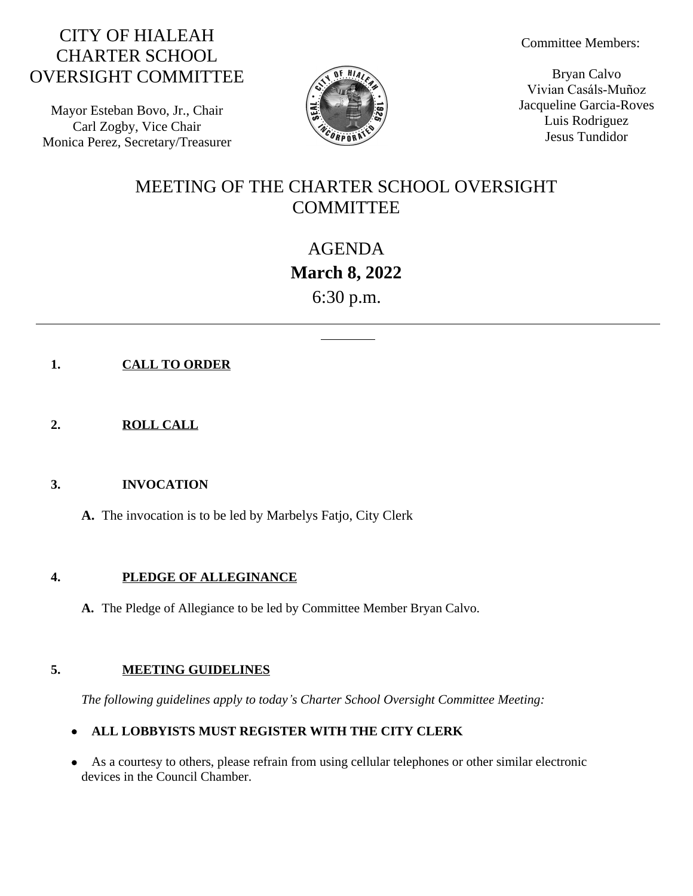## CITY OF HIALEAH CHARTER SCHOOL OVERSIGHT COMMITTEE

Mayor Esteban Bovo, Jr., Chair Carl Zogby, Vice Chair Monica Perez, Secretary/Treasurer



Committee Members:

Bryan Calvo Vivian Casáls-Muñoz Jacqueline Garcia-Roves Luis Rodriguez Jesus Tundidor

# MEETING OF THE CHARTER SCHOOL OVERSIGHT **COMMITTEE**

AGENDA **March 8, 2022** 6:30 p.m.

- **1. CALL TO ORDER**
- **2. ROLL CALL**

## **3. INVOCATION**

**A.** The invocation is to be led by Marbelys Fatjo, City Clerk

#### **4. PLEDGE OF ALLEGINANCE**

**A.** The Pledge of Allegiance to be led by Committee Member Bryan Calvo.

## **5. MEETING GUIDELINES**

*The following guidelines apply to today's Charter School Oversight Committee Meeting:*

## **ALL LOBBYISTS MUST REGISTER WITH THE CITY CLERK**

 As a courtesy to others, please refrain from using cellular telephones or other similar electronic devices in the Council Chamber.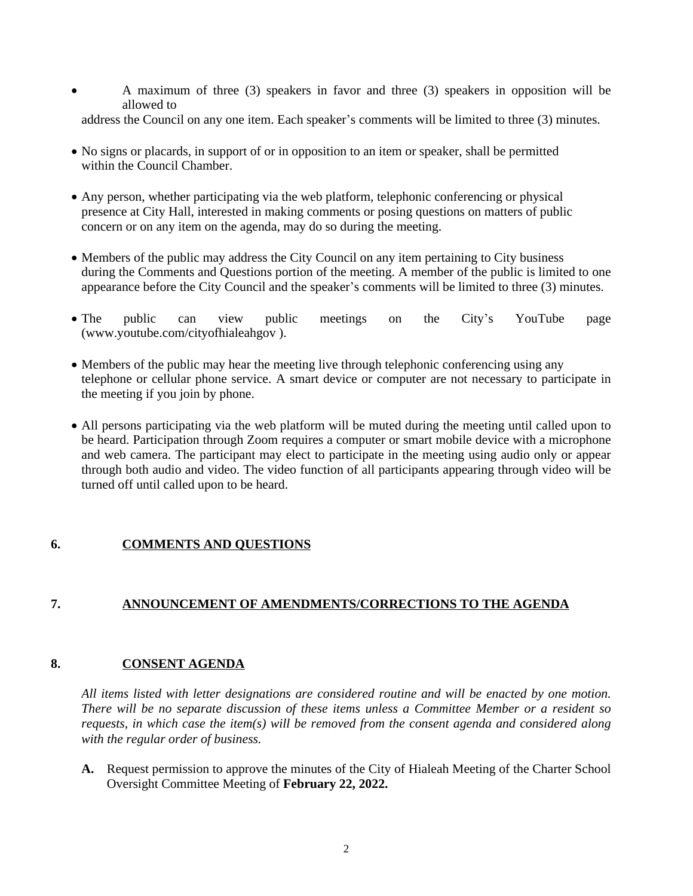- A maximum of three (3) speakers in favor and three (3) speakers in opposition will be allowed to
	- address the Council on any one item. Each speaker's comments will be limited to three (3) minutes.
- No signs or placards, in support of or in opposition to an item or speaker, shall be permitted within the Council Chamber.
- Any person, whether participating via the web platform, telephonic conferencing or physical presence at City Hall, interested in making comments or posing questions on matters of public concern or on any item on the agenda, may do so during the meeting.
- Members of the public may address the City Council on any item pertaining to City business during the Comments and Questions portion of the meeting. A member of the public is limited to one appearance before the City Council and the speaker's comments will be limited to three (3) minutes.
- The public can view public meetings on the City's YouTube page (www.youtube.com/cityofhialeahgov ).
- Members of the public may hear the meeting live through telephonic conferencing using any telephone or cellular phone service. A smart device or computer are not necessary to participate in the meeting if you join by phone.
- All persons participating via the web platform will be muted during the meeting until called upon to be heard. Participation through Zoom requires a computer or smart mobile device with a microphone and web camera. The participant may elect to participate in the meeting using audio only or appear through both audio and video. The video function of all participants appearing through video will be turned off until called upon to be heard.

## **6. COMMENTS AND QUESTIONS**

## **7. ANNOUNCEMENT OF AMENDMENTS/CORRECTIONS TO THE AGENDA**

## **8. CONSENT AGENDA**

*All items listed with letter designations are considered routine and will be enacted by one motion. There will be no separate discussion of these items unless a Committee Member or a resident so requests, in which case the item(s) will be removed from the consent agenda and considered along with the regular order of business.*

**A.** Request permission to approve the minutes of the City of Hialeah Meeting of the Charter School Oversight Committee Meeting of **February 22, 2022.**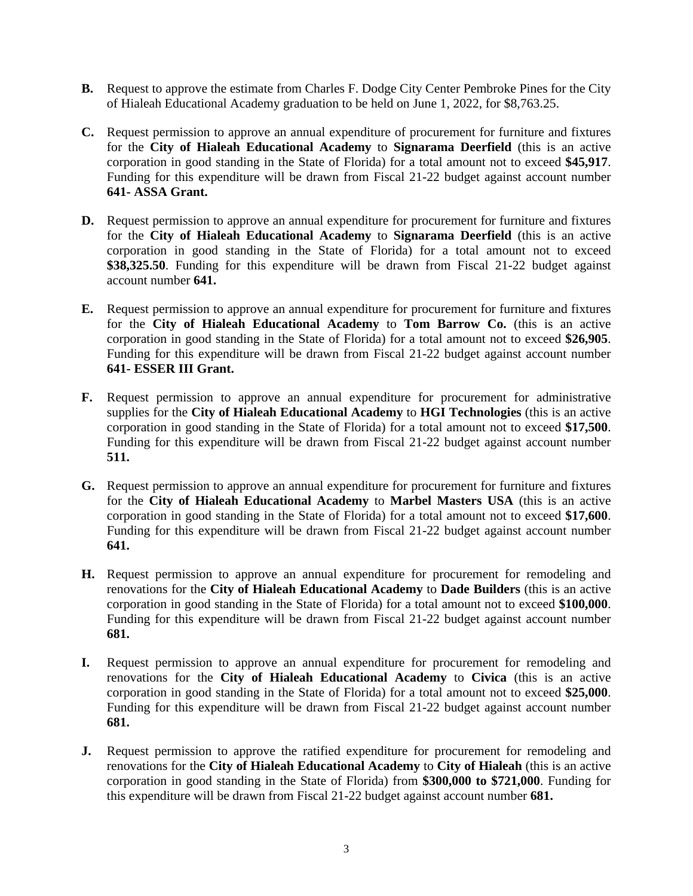- **B.** Request to approve the estimate from Charles F. Dodge City Center Pembroke Pines for the City of Hialeah Educational Academy graduation to be held on June 1, 2022, for \$8,763.25.
- **C.** Request permission to approve an annual expenditure of procurement for furniture and fixtures for the **City of Hialeah Educational Academy** to **Signarama Deerfield** (this is an active corporation in good standing in the State of Florida) for a total amount not to exceed **\$45,917**. Funding for this expenditure will be drawn from Fiscal 21-22 budget against account number **641- ASSA Grant.**
- **D.** Request permission to approve an annual expenditure for procurement for furniture and fixtures for the **City of Hialeah Educational Academy** to **Signarama Deerfield** (this is an active corporation in good standing in the State of Florida) for a total amount not to exceed **\$38,325.50**. Funding for this expenditure will be drawn from Fiscal 21-22 budget against account number **641.**
- **E.** Request permission to approve an annual expenditure for procurement for furniture and fixtures for the **City of Hialeah Educational Academy** to **Tom Barrow Co.** (this is an active corporation in good standing in the State of Florida) for a total amount not to exceed **\$26,905**. Funding for this expenditure will be drawn from Fiscal 21-22 budget against account number **641- ESSER III Grant.**
- **F.** Request permission to approve an annual expenditure for procurement for administrative supplies for the **City of Hialeah Educational Academy** to **HGI Technologies** (this is an active corporation in good standing in the State of Florida) for a total amount not to exceed **\$17,500**. Funding for this expenditure will be drawn from Fiscal 21-22 budget against account number **511.**
- **G.** Request permission to approve an annual expenditure for procurement for furniture and fixtures for the **City of Hialeah Educational Academy** to **Marbel Masters USA** (this is an active corporation in good standing in the State of Florida) for a total amount not to exceed **\$17,600**. Funding for this expenditure will be drawn from Fiscal 21-22 budget against account number **641.**
- **H.** Request permission to approve an annual expenditure for procurement for remodeling and renovations for the **City of Hialeah Educational Academy** to **Dade Builders** (this is an active corporation in good standing in the State of Florida) for a total amount not to exceed **\$100,000**. Funding for this expenditure will be drawn from Fiscal 21-22 budget against account number **681.**
- **I.** Request permission to approve an annual expenditure for procurement for remodeling and renovations for the **City of Hialeah Educational Academy** to **Civica** (this is an active corporation in good standing in the State of Florida) for a total amount not to exceed **\$25,000**. Funding for this expenditure will be drawn from Fiscal 21-22 budget against account number **681.**
- **J.** Request permission to approve the ratified expenditure for procurement for remodeling and renovations for the **City of Hialeah Educational Academy** to **City of Hialeah** (this is an active corporation in good standing in the State of Florida) from **\$300,000 to \$721,000**. Funding for this expenditure will be drawn from Fiscal 21-22 budget against account number **681.**